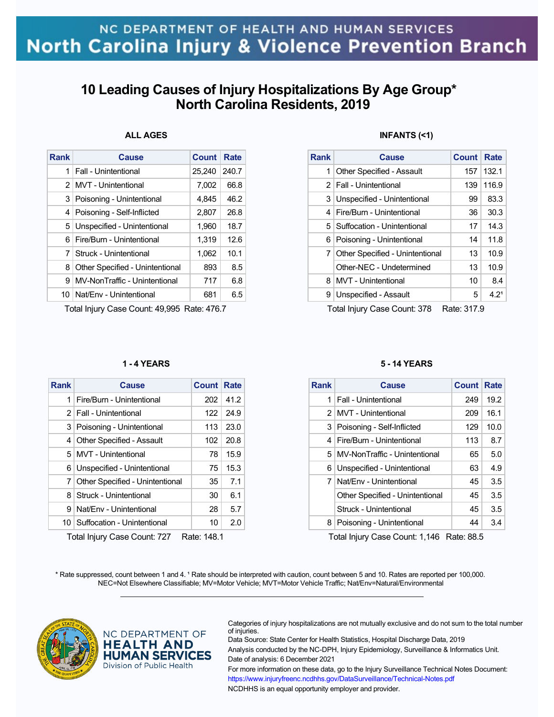## **10 Leading Causes of Injury Hospitalizations By Age Group\* North Carolina Residents, 2019**

### **ALL AGES**

| Rank          | Cause                           | <b>Count</b> | Rate  |
|---------------|---------------------------------|--------------|-------|
| 1             | Fall - Unintentional            | 25,240       | 240.7 |
| $\mathcal{P}$ | <b>MVT</b> - Unintentional      | 7,002        | 66.8  |
| 3             | Poisoning - Unintentional       | 4,845        | 46.2  |
| 4             | Poisoning - Self-Inflicted      | 2,807        | 26.8  |
| 5             | Unspecified - Unintentional     | 1,960        | 18.7  |
| 6             | Fire/Burn - Unintentional       | 1,319        | 12.6  |
| 7             | Struck - Unintentional          | 1,062        | 10.1  |
| 8             | Other Specified - Unintentional | 893          | 8.5   |
| 9             | MV-NonTraffic - Unintentional   | 717          | 6.8   |
|               | 10   Nat/Env - Unintentional    | 681          | 6.5   |

Total Injury Case Count: 49,995 Rate: 476.7

### **1 - 4 YEARS**

| <b>Rank</b>                                                | Cause                            | <b>Count Rate</b> |      |
|------------------------------------------------------------|----------------------------------|-------------------|------|
| 1                                                          | Fire/Burn - Unintentional        | 202               | 41.2 |
|                                                            | 2   Fall - Unintentional         | 122.              | 24.9 |
|                                                            | 3 Poisoning - Unintentional      | 113               | 23.0 |
| 4                                                          | <b>Other Specified - Assault</b> | 102               | 20.8 |
|                                                            | 5   MVT - Unintentional          | 78                | 15.9 |
|                                                            | 6 Unspecified - Unintentional    | 75                | 15.3 |
| 71                                                         | Other Specified - Unintentional  | 35                | 7.1  |
| 8                                                          | Struck - Unintentional           | 30                | 6.1  |
| 9                                                          | Nat/Env - Unintentional          | 28                | 5.7  |
|                                                            | 10   Suffocation - Unintentional | 10                | 2.0  |
| $T$ otol Inium (Caso Count: 707<br>D <sub>oto</sub> , 1101 |                                  |                   |      |

Total Injury Case Count: 727 Rate: 148.1

### **INFANTS (<1)**

| <b>Rank</b> | <b>Cause</b>                    | Count | Rate              |
|-------------|---------------------------------|-------|-------------------|
| 1           | Other Specified - Assault       | 157   | 132.1             |
|             | 2   Fall - Unintentional        | 139   | 116.9             |
| 3           | Unspecified - Unintentional     | 99    | 83.3              |
| 4           | Fire/Burn - Unintentional       | 36    | 30.3              |
|             | 5   Suffocation - Unintentional | 17    | 14.3              |
|             | 6   Poisoning - Unintentional   | 14    | 11.8              |
| 7           | Other Specified - Unintentional | 13    | 10.9              |
|             | Other-NEC - Undetermined        | 13    | 10.9 <sup>°</sup> |
| 8           | <b>MVT</b> - Unintentional      | 10    | 8.4               |
| 9           | Unspecified - Assault           | 5     | 4.2 <sup>1</sup>  |

Total Injury Case Count: 378 Rate: 317.9

#### **5 - 14 YEARS**

| <b>Rank</b> | Cause                           | Count | Rate |
|-------------|---------------------------------|-------|------|
| 1           | Fall - Unintentional            | 249   | 19.2 |
|             | 2 MVT - Unintentional           | 209   | 16.1 |
| 3           | Poisoning - Self-Inflicted      | 129   | 10.0 |
| 4           | Fire/Burn - Unintentional       | 113   | 8.7  |
| 5           | MV-NonTraffic - Unintentional   | 65    | 5.0  |
| 6           | Unspecified - Unintentional     | 63    | 4.9  |
| 7           | Nat/Fny - Unintentional         | 45    | 3.5  |
|             | Other Specified - Unintentional | 45    | 3.5  |
|             | Struck - Unintentional          | 45    | 3.5  |
| 8           | Poisoning - Unintentional       | 44    | 3.4  |

Total Injury Case Count: 1,146 Rate: 88.5

\* Rate suppressed, count between 1 and 4. <sup>1</sup> Rate should be interpreted with caution, count between 5 and 10. Rates are reported per 100,000. NEC=Not Elsewhere Classifiable; MV=Motor Vehicle; MVT=Motor Vehicle Traffic; Nat/Env=Natural/Environmental  $\mathcal{L}_\mathcal{L} = \{ \mathcal{L}_\mathcal{L} = \{ \mathcal{L}_\mathcal{L} = \{ \mathcal{L}_\mathcal{L} = \{ \mathcal{L}_\mathcal{L} = \{ \mathcal{L}_\mathcal{L} = \{ \mathcal{L}_\mathcal{L} = \{ \mathcal{L}_\mathcal{L} = \{ \mathcal{L}_\mathcal{L} = \{ \mathcal{L}_\mathcal{L} = \{ \mathcal{L}_\mathcal{L} = \{ \mathcal{L}_\mathcal{L} = \{ \mathcal{L}_\mathcal{L} = \{ \mathcal{L}_\mathcal{L} = \{ \mathcal{L}_\mathcal{$ 



NC DEPARTMENT OF **HEALTH AND HUMAN SERVICES** Division of Public Health

Categories of injury hospitalizations are not mutually exclusive and do not sum to the total number of injuries.

Data Source: State Center for Health Statistics, Hospital Discharge Data, 2019 Analysis conducted by the NC-DPH, Injury Epidemiology, Surveillance & Informatics Unit. Date of analysis: 6 December 2021 For more information on these data, go to the Injury Surveillance Technical Notes Document: https://www.injuryfreenc.ncdhhs.gov/DataSurveillance/Technical-Notes.pdf

NCDHHS is an equal opportunity employer and provider.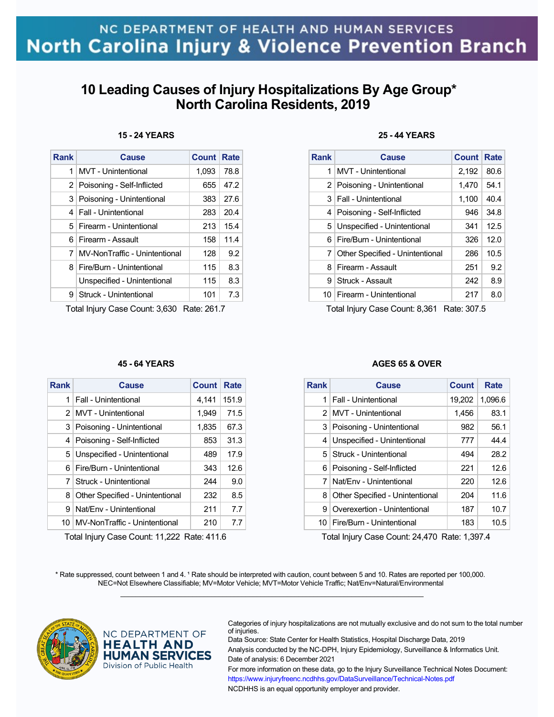## **10 Leading Causes of Injury Hospitalizations By Age Group\* North Carolina Residents, 2019**

| Rank | Cause                          | <b>Count Rate</b> |      |
|------|--------------------------------|-------------------|------|
| 1    | MVT - Unintentional            | 1.093             | 78.8 |
|      | 2   Poisoning - Self-Inflicted | 655               | 47.2 |
|      | 3 Poisoning - Unintentional    | 383               | 27.6 |
|      | 4   Fall - Unintentional       | 283               | 20.4 |
|      | 5   Firearm - Unintentional    | 213               | 15.4 |
| 61   | Firearm - Assault              | 158               | 11.4 |
| 7    | MV-NonTraffic - Unintentional  | 128               | 9.2  |
| 81   | Fire/Burn - Unintentional      | 115               | 8.3  |
|      | Unspecified - Unintentional    | 115               | 8.3  |
| 9    | Struck - Unintentional         | 101               | 7.3  |

Total Injury Case Count: 3,630 Rate: 261.7

### **45 - 64 YEARS**

| Rank           | Cause                           | <b>Count</b> | Rate  |
|----------------|---------------------------------|--------------|-------|
| 1              | Fall - Unintentional            | 4,141        | 151.9 |
| 2 <sup>1</sup> | MVT - Unintentional             | 1,949        | 71.5  |
| 3              | Poisoning - Unintentional       | 1,835        | 67.3  |
| 4              | Poisoning - Self-Inflicted      | 853          | 31.3  |
|                | 5 Unspecified - Unintentional   | 489          | 17.9  |
| 6              | Fire/Burn - Unintentional       | 343          | 12.6  |
| 7              | Struck - Unintentional          | 244          | 9.0   |
| 8              | Other Specified - Unintentional | 232          | 8.5   |
| 9              | Nat/Env - Unintentional         | 211          | 7.7   |
| 10             | MV-NonTraffic - Unintentional   | 210          | 7.7   |

Total Injury Case Count: 11,222 Rate: 411.6

### **25 - 44 YEARS**

| Rank | Cause                           | Count | Rate |
|------|---------------------------------|-------|------|
| 1    | MVT - Unintentional             | 2,192 | 80.6 |
|      | 2   Poisoning - Unintentional   | 1,470 | 54.1 |
|      | 3   Fall - Unintentional        | 1,100 | 40.4 |
|      | 4   Poisoning - Self-Inflicted  | 946   | 34.8 |
|      | 5 Unspecified - Unintentional   | 341   | 12.5 |
|      | 6   Fire/Burn - Unintentional   | 326   | 12.0 |
| 7    | Other Specified - Unintentional | 286   | 10.5 |
| 8    | Firearm - Assault               | 251   | 9.2  |
| Й    | Struck - Assault                | 242   | 8.9  |
|      | 10   Firearm - Unintentional    | 217   | 8.0  |

Total Injury Case Count: 8,361 Rate: 307.5

#### **AGES 65 & OVER**

| <b>Rank</b>    | Cause                           | Count  | Rate    |
|----------------|---------------------------------|--------|---------|
| 1              | Fall - Unintentional            | 19,202 | 1,096.6 |
| 2 <sup>1</sup> | MVT - Unintentional             | 1,456  | 83.1    |
| 3              | Poisoning - Unintentional       | 982    | 56.1    |
| 4              | Unspecified - Unintentional     | 777    | 44.4    |
| 5 <sup>1</sup> | Struck - Unintentional          | 494    | 28.2    |
| 6              | Poisoning - Self-Inflicted      | 221    | 12.6    |
| 7              | Nat/Fny - Unintentional         | 220    | 12.6    |
| 8              | Other Specified - Unintentional | 204    | 11.6    |
| 9              | Overexertion - Unintentional    | 187    | 10.7    |
| 10             | Fire/Burn - Unintentional       | 183    | 10.5    |

Total Injury Case Count: 24,470 Rate: 1,397.4

\* Rate suppressed, count between 1 and 4. <sup>1</sup> Rate should be interpreted with caution, count between 5 and 10. Rates are reported per 100,000. NEC=Not Elsewhere Classifiable; MV=Motor Vehicle; MVT=Motor Vehicle Traffic; Nat/Env=Natural/Environmental  $\mathcal{L}_\mathcal{L} = \{ \mathcal{L}_\mathcal{L} = \{ \mathcal{L}_\mathcal{L} = \{ \mathcal{L}_\mathcal{L} = \{ \mathcal{L}_\mathcal{L} = \{ \mathcal{L}_\mathcal{L} = \{ \mathcal{L}_\mathcal{L} = \{ \mathcal{L}_\mathcal{L} = \{ \mathcal{L}_\mathcal{L} = \{ \mathcal{L}_\mathcal{L} = \{ \mathcal{L}_\mathcal{L} = \{ \mathcal{L}_\mathcal{L} = \{ \mathcal{L}_\mathcal{L} = \{ \mathcal{L}_\mathcal{L} = \{ \mathcal{L}_\mathcal{$ 



NC DEPARTMENT OF **HEALTH AND HUMAN SERVICES** Division of Public Health

Categories of injury hospitalizations are not mutually exclusive and do not sum to the total number of injuries.

Data Source: State Center for Health Statistics, Hospital Discharge Data, 2019 Analysis conducted by the NC-DPH, Injury Epidemiology, Surveillance & Informatics Unit. Date of analysis: 6 December 2021 For more information on these data, go to the Injury Surveillance Technical Notes Document: https://www.injuryfreenc.ncdhhs.gov/DataSurveillance/Technical-Notes.pdf

NCDHHS is an equal opportunity employer and provider.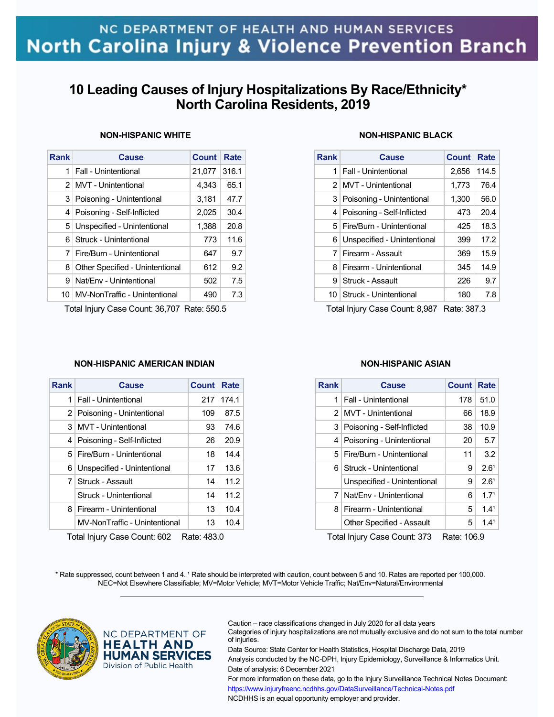## **10 Leading Causes of Injury Hospitalizations By Race/Ethnicity\* North Carolina Residents, 2019**

| <b>NON-HISPANIC WHITE</b> |  |
|---------------------------|--|
|---------------------------|--|

| <b>Rank</b>   | <b>Cause</b>                    | <b>Count</b> | Rate  |
|---------------|---------------------------------|--------------|-------|
| 1             | <b>Fall - Unintentional</b>     | 21.077       | 316.1 |
| $\mathcal{P}$ | <b>MVT</b> - Unintentional      | 4,343        | 65.1  |
| 3             | Poisoning - Unintentional       | 3,181        | 47.7  |
| 4             | Poisoning - Self-Inflicted      | 2,025        | 30.4  |
| 5             | Unspecified - Unintentional     | 1,388        | 20.8  |
| 6.            | Struck - Unintentional          | 773          | 11.6  |
| 7             | Fire/Burn - Unintentional       | 647          | 9.7   |
| 8             | Other Specified - Unintentional | 612          | 9.2   |
| 9             | Nat/Env - Unintentional         | 502          | 7.5   |
| 10.           | MV-NonTraffic - Unintentional   | 490          | 7.3   |
|               |                                 |              |       |

Total Injury Case Count: 36,707 Rate: 550.5

### **NON-HISPANIC BLACK**

| <b>Rank</b> | <b>Cause</b>                   | <b>Count</b> | Rate  |
|-------------|--------------------------------|--------------|-------|
| 1           | <b>Fall - Unintentional</b>    | 2,656        | 114.5 |
|             | 2 MVT - Unintentional          | 1,773        | 76.4  |
|             | 3   Poisoning - Unintentional  | 1,300        | 56.0  |
|             | 4   Poisoning - Self-Inflicted | 473          | 20.4  |
|             | 5   Fire/Burn - Unintentional  | 425          | 18.3  |
| 6           | Unspecified - Unintentional    | 399          | 17.2  |
|             | 7 Firearm - Assault            | 369          | 15.9  |
| 8           | Firearm - Unintentional        | 345          | 14.9  |
| 9           | Struck - Assault               | 226          | 9.7   |
|             | 10   Struck - Unintentional    | 180          | 7.8   |

Total Injury Case Count: 8,987 Rate: 387.3

### **NON-HISPANIC AMERICAN INDIAN**

| <b>Rank</b> | Cause                          | <b>Count</b> | Rate  |
|-------------|--------------------------------|--------------|-------|
| 1           | <b>Fall - Unintentional</b>    | 217          | 174.1 |
|             | 2 Poisoning - Unintentional    | 109          | 87.5  |
|             | 3 MVT - Unintentional          | 93           | 74.6  |
|             | 4   Poisoning - Self-Inflicted | 26           | 20.9  |
|             | 5   Fire/Burn - Unintentional  | 18           | 14.4  |
| 6           | Unspecified - Unintentional    | 17           | 13.6  |
|             | 7 Struck - Assault             | 14           | 11.2  |
|             | Struck - Unintentional         | 14           | 11.2  |
| 8.          | Firearm - Unintentional        | 13           | 10.4  |
|             | MV-NonTraffic - Unintentional  | 13           | 10.4  |

Total Injury Case Count: 602 Rate: 483.0

### **NON-HISPANIC ASIAN**

| Rank | Cause                            | <b>Count</b> | Rate             |
|------|----------------------------------|--------------|------------------|
| 1    | Fall - Unintentional             | 178          | 51.0             |
|      | 2   MVT - Unintentional          | 66           | 18.9             |
| 3    | Poisoning - Self-Inflicted       | 38           | 10.9             |
| 4    | Poisoning - Unintentional        | 20           | 5.7              |
| 5.   | Fire/Burn - Unintentional        | 11           | 3.2              |
| 6    | Struck - Unintentional           | 9            | 2.6 <sup>1</sup> |
|      | Unspecified - Unintentional      | 9            | 2.6 <sup>1</sup> |
| 7    | Nat/Env - Unintentional          | 6            | 1.7 <sup>1</sup> |
| 8    | Firearm - Unintentional          | 5.           | 1.4 <sup>1</sup> |
|      | <b>Other Specified - Assault</b> | 5            | 1.4 <sup>1</sup> |

Total Injury Case Count: 373 Rate: 106.9

\* Rate suppressed, count between 1 and 4. <sup>1</sup> Rate should be interpreted with caution, count between 5 and 10. Rates are reported per 100,000. NEC=Not Elsewhere Classifiable; MV=Motor Vehicle; MVT=Motor Vehicle Traffic; Nat/Env=Natural/Environmental  $\mathcal{L}_\mathcal{L} = \{ \mathcal{L}_\mathcal{L} = \{ \mathcal{L}_\mathcal{L} = \{ \mathcal{L}_\mathcal{L} = \{ \mathcal{L}_\mathcal{L} = \{ \mathcal{L}_\mathcal{L} = \{ \mathcal{L}_\mathcal{L} = \{ \mathcal{L}_\mathcal{L} = \{ \mathcal{L}_\mathcal{L} = \{ \mathcal{L}_\mathcal{L} = \{ \mathcal{L}_\mathcal{L} = \{ \mathcal{L}_\mathcal{L} = \{ \mathcal{L}_\mathcal{L} = \{ \mathcal{L}_\mathcal{L} = \{ \mathcal{L}_\mathcal{$ 



NC DEPARTMENT OF **HEALTH AND HUMAN SERVICES** Division of Public Health

Caution – race classifications changed in July 2020 for all data years

Categories of injury hospitalizations are not mutually exclusive and do not sum to the total number of injuries.

Data Source: State Center for Health Statistics, Hospital Discharge Data, 2019 Analysis conducted by the NC-DPH, Injury Epidemiology, Surveillance & Informatics Unit. Date of analysis: 6 December 2021

For more information on these data, go to the Injury Surveillance Technical Notes Document: https://www.injuryfreenc.ncdhhs.gov/DataSurveillance/Technical-Notes.pdf NCDHHS is an equal opportunity employer and provider.